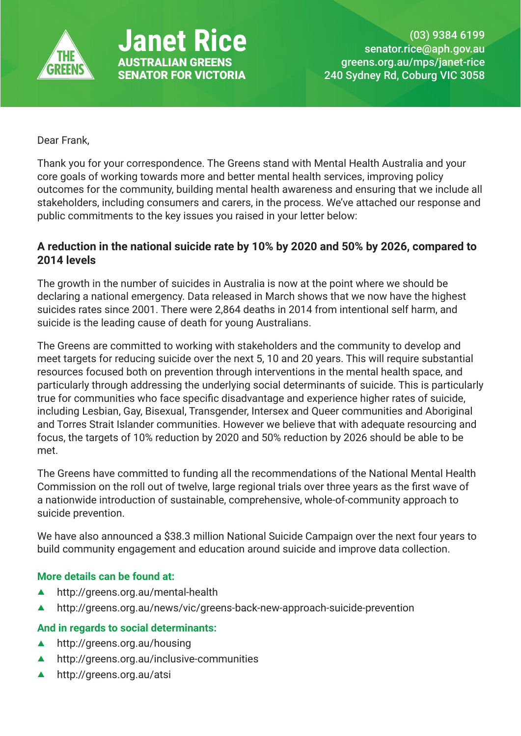

**Anet Rice** AUSTRALIAN GREENS SENATOR FOR VICTORIA

Dear Frank,

Thank you for your correspondence. The Greens stand with Mental Health Australia and your core goals of working towards more and better mental health services, improving policy outcomes for the community, building mental health awareness and ensuring that we include all stakeholders, including consumers and carers, in the process. We've attached our response and public commitments to the key issues you raised in your letter below:

## **A reduction in the national suicide rate by 10% by 2020 and 50% by 2026, compared to 2014 levels**

The growth in the number of suicides in Australia is now at the point where we should be declaring a national emergency. Data released in March shows that we now have the highest suicides rates since 2001. There were 2,864 deaths in 2014 from intentional self harm, and suicide is the leading cause of death for young Australians.

The Greens are committed to working with stakeholders and the community to develop and meet targets for reducing suicide over the next 5, 10 and 20 years. This will require substantial resources focused both on prevention through interventions in the mental health space, and particularly through addressing the underlying social determinants of suicide. This is particularly true for communities who face specific disadvantage and experience higher rates of suicide, including Lesbian, Gay, Bisexual, Transgender, Intersex and Queer communities and Aboriginal and Torres Strait Islander communities. However we believe that with adequate resourcing and focus, the targets of 10% reduction by 2020 and 50% reduction by 2026 should be able to be met.

The Greens have committed to funding all the recommendations of the National Mental Health Commission on the roll out of twelve, large regional trials over three years as the first wave of a nationwide introduction of sustainable, comprehensive, whole-of-community approach to suicide prevention.

We have also announced a \$38.3 million National Suicide Campaign over the next four years to build community engagement and education around suicide and improve data collection.

### **More details can be found at:**

- ▲ http://greens.org.au/mental-health
- ▲ http://greens.org.au/news/vic/greens-back-new-approach-suicide-prevention

### **And in regards to social determinants:**

- $\blacktriangle$  http://greens.org.au/housing
- $\blacktriangle$  http://greens.org.au/inclusive-communities
- ▲ http://greens.org.au/atsi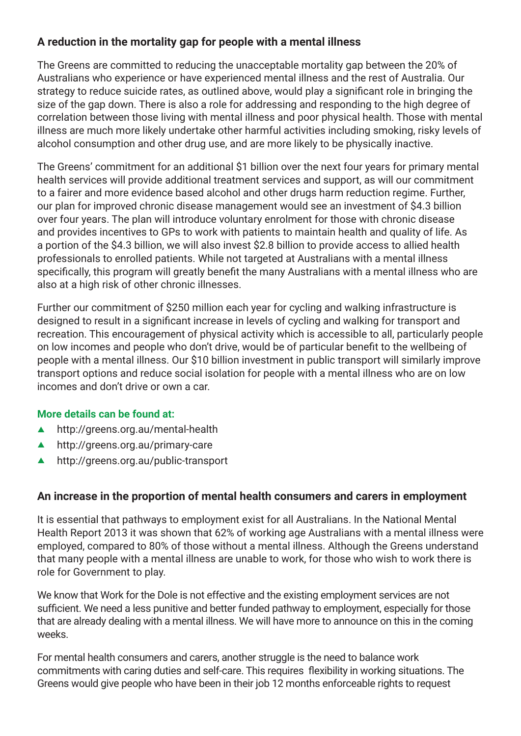# **A reduction in the mortality gap for people with a mental illness**

The Greens are committed to reducing the unacceptable mortality gap between the 20% of Australians who experience or have experienced mental illness and the rest of Australia. Our strategy to reduce suicide rates, as outlined above, would play a significant role in bringing the size of the gap down. There is also a role for addressing and responding to the high degree of correlation between those living with mental illness and poor physical health. Those with mental illness are much more likely undertake other harmful activities including smoking, risky levels of alcohol consumption and other drug use, and are more likely to be physically inactive.

The Greens' commitment for an additional \$1 billion over the next four years for primary mental health services will provide additional treatment services and support, as will our commitment to a fairer and more evidence based alcohol and other drugs harm reduction regime. Further, our plan for improved chronic disease management would see an investment of \$4.3 billion over four years. The plan will introduce voluntary enrolment for those with chronic disease and provides incentives to GPs to work with patients to maintain health and quality of life. As a portion of the \$4.3 billion, we will also invest \$2.8 billion to provide access to allied health professionals to enrolled patients. While not targeted at Australians with a mental illness specifically, this program will greatly benefit the many Australians with a mental illness who are also at a high risk of other chronic illnesses.

Further our commitment of \$250 million each year for cycling and walking infrastructure is designed to result in a significant increase in levels of cycling and walking for transport and recreation. This encouragement of physical activity which is accessible to all, particularly people on low incomes and people who don't drive, would be of particular benefit to the wellbeing of people with a mental illness. Our \$10 billion investment in public transport will similarly improve transport options and reduce social isolation for people with a mental illness who are on low incomes and don't drive or own a car.

### **More details can be found at:**

- ▲ http://greens.org.au/mental-health
- ▲ http://greens.org.au/primary-care
- ▲ http://greens.org.au/public-transport

### **An increase in the proportion of mental health consumers and carers in employment**

It is essential that pathways to employment exist for all Australians. In the National Mental Health Report 2013 it was shown that 62% of working age Australians with a mental illness were employed, compared to 80% of those without a mental illness. Although the Greens understand that many people with a mental illness are unable to work, for those who wish to work there is role for Government to play.

We know that Work for the Dole is not effective and the existing employment services are not sufficient. We need a less punitive and better funded pathway to employment, especially for those that are already dealing with a mental illness. We will have more to announce on this in the coming weeks.

For mental health consumers and carers, another struggle is the need to balance work commitments with caring duties and self-care. This requires flexibility in working situations. The Greens would give people who have been in their job 12 months enforceable rights to request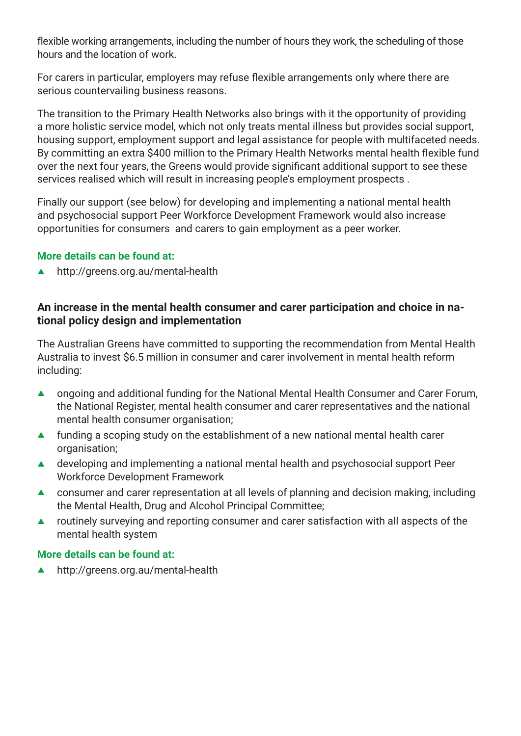flexible working arrangements, including the number of hours they work, the scheduling of those hours and the location of work.

For carers in particular, employers may refuse flexible arrangements only where there are serious countervailing business reasons.

The transition to the Primary Health Networks also brings with it the opportunity of providing a more holistic service model, which not only treats mental illness but provides social support, housing support, employment support and legal assistance for people with multifaceted needs. By committing an extra \$400 million to the Primary Health Networks mental health flexible fund over the next four years, the Greens would provide significant additional support to see these services realised which will result in increasing people's employment prospects .

Finally our support (see below) for developing and implementing a national mental health and psychosocial support Peer Workforce Development Framework would also increase opportunities for consumers and carers to gain employment as a peer worker.

#### **More details can be found at:**

 $\blacktriangle$  http://greens.org.au/mental-health

### **An increase in the mental health consumer and carer participation and choice in national policy design and implementation**

The Australian Greens have committed to supporting the recommendation from Mental Health Australia to invest \$6.5 million in consumer and carer involvement in mental health reform including:

- **A** ongoing and additional funding for the National Mental Health Consumer and Carer Forum, the National Register, mental health consumer and carer representatives and the national mental health consumer organisation;
- $\blacktriangle$  funding a scoping study on the establishment of a new national mental health carer organisation;
- $\blacktriangle$  developing and implementing a national mental health and psychosocial support Peer Workforce Development Framework
- $\triangle$  consumer and carer representation at all levels of planning and decision making, including the Mental Health, Drug and Alcohol Principal Committee;
- $\blacktriangle$  routinely surveying and reporting consumer and carer satisfaction with all aspects of the mental health system

#### **More details can be found at:**

 $\blacktriangle$  http://greens.org.au/mental-health